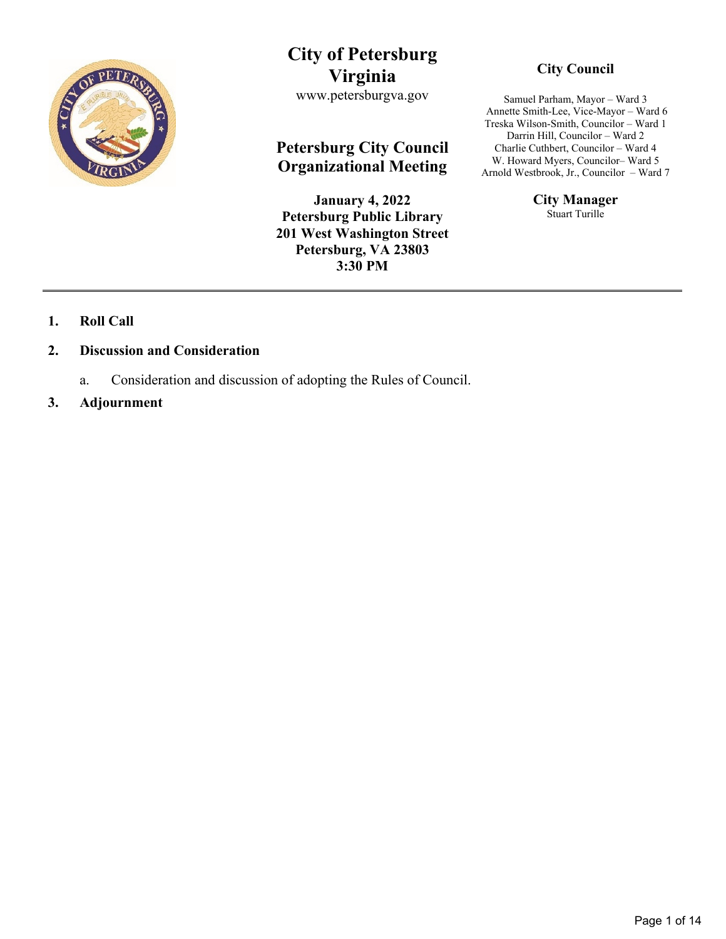

# **City of Petersburg Virginia**

www.petersburgva.gov

## **Petersburg City Council Organizational Meeting**

**January 4, 2022 Petersburg Public Library 201 West Washington Street Petersburg, VA 23803 3:30 PM**

## **City Council**

Samuel Parham, Mayor – Ward 3 Annette Smith-Lee, Vice-Mayor – Ward 6 Treska Wilson-Smith, Councilor – Ward 1 Darrin Hill, Councilor – Ward 2 Charlie Cuthbert, Councilor – Ward 4 W. Howard Myers, Councilor– Ward 5 Arnold Westbrook, Jr., Councilor – Ward 7

> **City Manager** Stuart Turille

## **1. Roll Call**

#### **2. Discussion and Consideration**

- a. Consideration and discussion of adopting the Rules of Council.
- **3. Adjournment**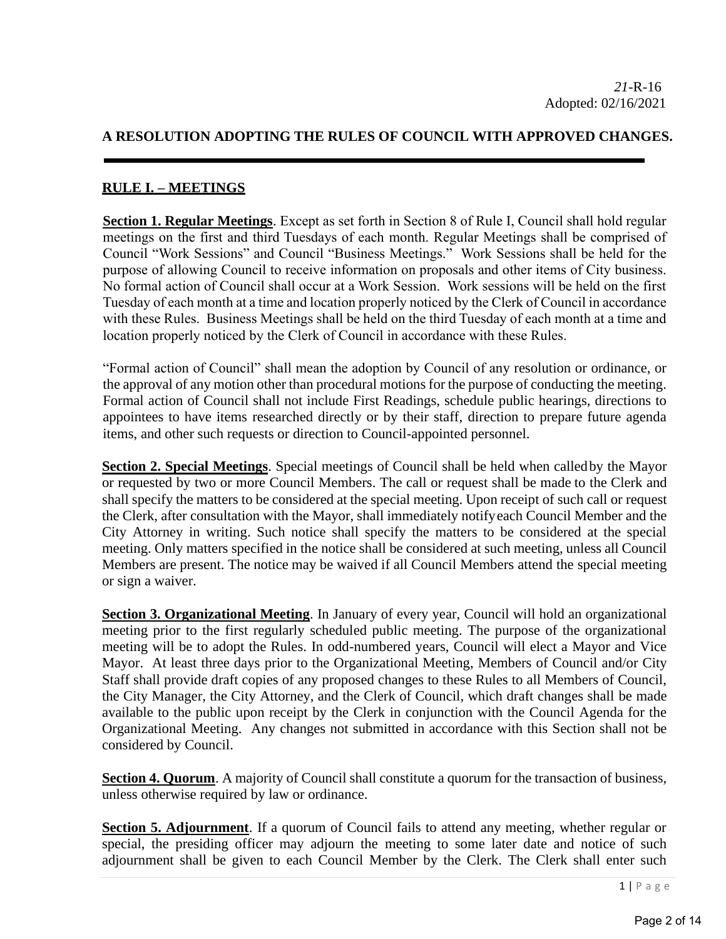## **A RESOLUTION ADOPTING THE RULES OF COUNCIL WITH APPROVED CHANGES.**

## **RULE I. – MEETINGS**

**Section 1. Regular Meetings**. Except as set forth in Section 8 of Rule I, Council shall hold regular meetings on the first and third Tuesdays of each month. Regular Meetings shall be comprised of Council "Work Sessions" and Council "Business Meetings." Work Sessions shall be held for the purpose of allowing Council to receive information on proposals and other items of City business. No formal action of Council shall occur at a Work Session. Work sessions will be held on the first Tuesday of each month at a time and location properly noticed by the Clerk of Council in accordance with these Rules. Business Meetings shall be held on the third Tuesday of each month at a time and location properly noticed by the Clerk of Council in accordance with these Rules.

"Formal action of Council" shall mean the adoption by Council of any resolution or ordinance, or the approval of any motion other than procedural motions for the purpose of conducting the meeting. Formal action of Council shall not include First Readings, schedule public hearings, directions to appointees to have items researched directly or by their staff, direction to prepare future agenda items, and other such requests or direction to Council-appointed personnel.

**Section 2. Special Meetings**. Special meetings of Council shall be held when calledby the Mayor or requested by two or more Council Members. The call or request shall be made to the Clerk and shall specify the matters to be considered at the special meeting. Upon receipt of such call or request the Clerk, after consultation with the Mayor, shall immediately notifyeach Council Member and the City Attorney in writing. Such notice shall specify the matters to be considered at the special meeting. Only matters specified in the notice shall be considered at such meeting, unless all Council Members are present. The notice may be waived if all Council Members attend the special meeting or sign a waiver.

**Section 3. Organizational Meeting**. In January of every year, Council will hold an organizational meeting prior to the first regularly scheduled public meeting. The purpose of the organizational meeting will be to adopt the Rules. In odd-numbered years, Council will elect a Mayor and Vice Mayor. At least three days prior to the Organizational Meeting, Members of Council and/or City Staff shall provide draft copies of any proposed changes to these Rules to all Members of Council, the City Manager, the City Attorney, and the Clerk of Council, which draft changes shall be made available to the public upon receipt by the Clerk in conjunction with the Council Agenda for the Organizational Meeting. Any changes not submitted in accordance with this Section shall not be considered by Council.

**Section 4. Quorum.** A majority of Council shall constitute a quorum for the transaction of business, unless otherwise required by law or ordinance.

**Section 5. Adjournment**. If a quorum of Council fails to attend any meeting, whether regular or special, the presiding officer may adjourn the meeting to some later date and notice of such adjournment shall be given to each Council Member by the Clerk. The Clerk shall enter such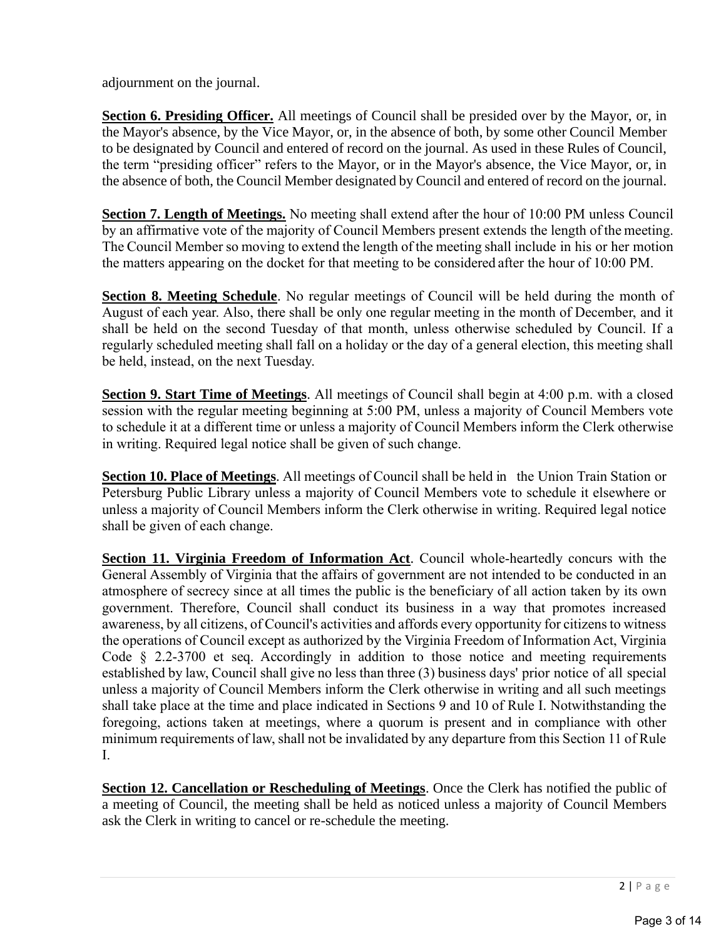adjournment on the journal.

**Section 6. Presiding Officer.** All meetings of Council shall be presided over by the Mayor, or, in the Mayor's absence, by the Vice Mayor, or, in the absence of both, by some other Council Member to be designated by Council and entered of record on the journal. As used in these Rules of Council, the term "presiding officer" refers to the Mayor, or in the Mayor's absence, the Vice Mayor, or, in the absence of both, the Council Member designated by Council and entered of record on the journal.

**Section 7. Length of Meetings.** No meeting shall extend after the hour of 10:00 PM unless Council by an affirmative vote of the majority of Council Members present extends the length of the meeting. The Council Member so moving to extend the length of the meeting shall include in his or her motion the matters appearing on the docket for that meeting to be considered after the hour of 10:00 PM.

**Section 8. Meeting Schedule**. No regular meetings of Council will be held during the month of August of each year. Also, there shall be only one regular meeting in the month of December, and it shall be held on the second Tuesday of that month, unless otherwise scheduled by Council. If a regularly scheduled meeting shall fall on a holiday or the day of a general election, this meeting shall be held, instead, on the next Tuesday.

**Section 9. Start Time of Meetings**. All meetings of Council shall begin at 4:00 p.m. with a closed session with the regular meeting beginning at 5:00 PM, unless a majority of Council Members vote to schedule it at a different time or unless a majority of Council Members inform the Clerk otherwise in writing. Required legal notice shall be given of such change.

**Section 10. Place of Meetings**. All meetings of Council shall be held in the Union Train Station or Petersburg Public Library unless a majority of Council Members vote to schedule it elsewhere or unless a majority of Council Members inform the Clerk otherwise in writing. Required legal notice shall be given of each change.

**Section 11. Virginia Freedom of Information Act**. Council whole-heartedly concurs with the General Assembly of Virginia that the affairs of government are not intended to be conducted in an atmosphere of secrecy since at all times the public is the beneficiary of all action taken by its own government. Therefore, Council shall conduct its business in a way that promotes increased awareness, by all citizens, of Council's activities and affords every opportunity for citizens to witness the operations of Council except as authorized by the Virginia Freedom of Information Act, Virginia Code § 2.2-3700 et seq. Accordingly in addition to those notice and meeting requirements established by law, Council shall give no less than three (3) business days' prior notice of all special unless a majority of Council Members inform the Clerk otherwise in writing and all such meetings shall take place at the time and place indicated in Sections 9 and 10 of Rule I. Notwithstanding the foregoing, actions taken at meetings, where a quorum is present and in compliance with other minimum requirements of law, shall not be invalidated by any departure from this Section 11 of Rule I.

**Section 12. Cancellation or Rescheduling of Meetings**. Once the Clerk has notified the public of a meeting of Council, the meeting shall be held as noticed unless a majority of Council Members ask the Clerk in writing to cancel or re-schedule the meeting.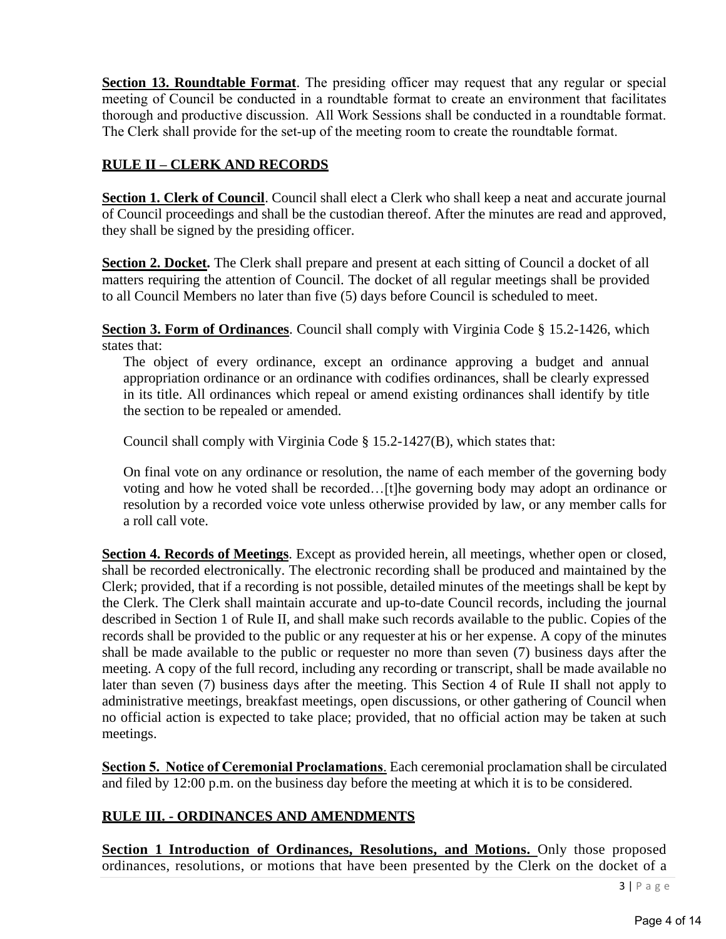**Section 13. Roundtable Format**. The presiding officer may request that any regular or special meeting of Council be conducted in a roundtable format to create an environment that facilitates thorough and productive discussion. All Work Sessions shall be conducted in a roundtable format. The Clerk shall provide for the set-up of the meeting room to create the roundtable format.

## **RULE II – CLERK AND RECORDS**

**Section 1. Clerk of Council**. Council shall elect a Clerk who shall keep a neat and accurate journal of Council proceedings and shall be the custodian thereof. After the minutes are read and approved, they shall be signed by the presiding officer.

**Section 2. Docket.** The Clerk shall prepare and present at each sitting of Council a docket of all matters requiring the attention of Council. The docket of all regular meetings shall be provided to all Council Members no later than five (5) days before Council is scheduled to meet.

**Section 3. Form of Ordinances**. Council shall comply with Virginia Code § 15.2-1426, which states that:

The object of every ordinance, except an ordinance approving a budget and annual appropriation ordinance or an ordinance with codifies ordinances, shall be clearly expressed in its title. All ordinances which repeal or amend existing ordinances shall identify by title the section to be repealed or amended.

Council shall comply with Virginia Code § 15.2-1427(B), which states that:

On final vote on any ordinance or resolution, the name of each member of the governing body voting and how he voted shall be recorded…[t]he governing body may adopt an ordinance or resolution by a recorded voice vote unless otherwise provided by law, or any member calls for a roll call vote.

**Section 4. Records of Meetings**. Except as provided herein, all meetings, whether open or closed, shall be recorded electronically. The electronic recording shall be produced and maintained by the Clerk; provided, that if a recording is not possible, detailed minutes of the meetings shall be kept by the Clerk. The Clerk shall maintain accurate and up-to-date Council records, including the journal described in Section 1 of Rule II, and shall make such records available to the public. Copies of the records shall be provided to the public or any requester at his or her expense. A copy of the minutes shall be made available to the public or requester no more than seven (7) business days after the meeting. A copy of the full record, including any recording or transcript, shall be made available no later than seven (7) business days after the meeting. This Section 4 of Rule II shall not apply to administrative meetings, breakfast meetings, open discussions, or other gathering of Council when no official action is expected to take place; provided, that no official action may be taken at such meetings.

**Section 5. Notice of Ceremonial Proclamations**. Each ceremonial proclamation shall be circulated and filed by 12:00 p.m. on the business day before the meeting at which it is to be considered.

## **RULE III. - ORDINANCES AND AMENDMENTS**

**<u>Section 1 Introduction of Ordinances, Resolutions, and Motions. Only those proposed</u>** ordinances, resolutions, or motions that have been presented by the Clerk on the docket of a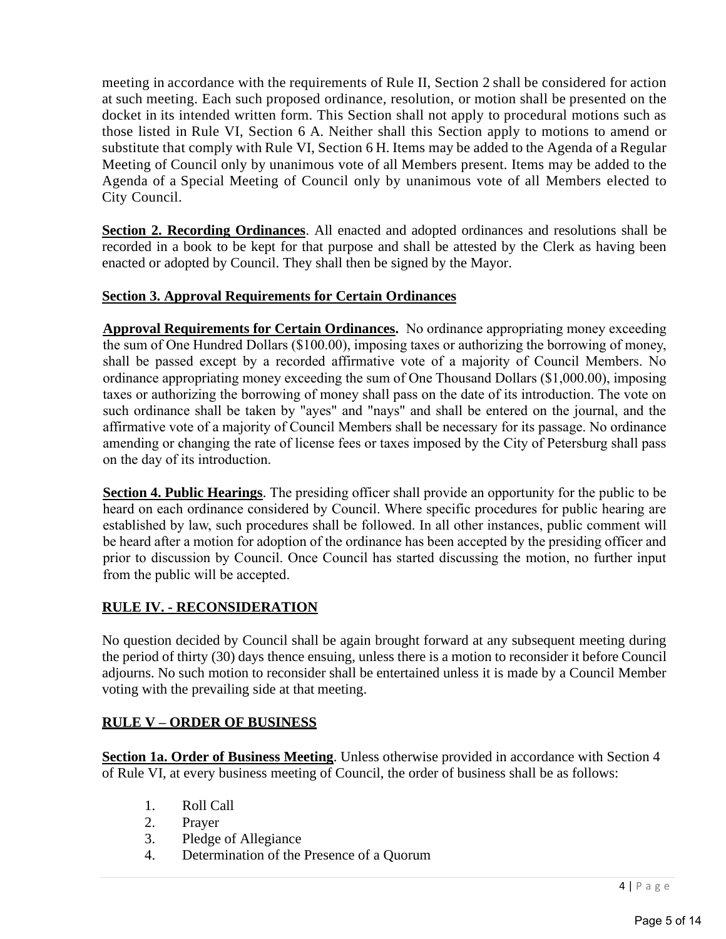meeting in accordance with the requirements of Rule II, Section 2 shall be considered for action at such meeting. Each such proposed ordinance, resolution, or motion shall be presented on the docket in its intended written form. This Section shall not apply to procedural motions such as those listed in Rule VI, Section 6 A. Neither shall this Section apply to motions to amend or substitute that comply with Rule VI, Section 6 H. Items may be added to the Agenda of a Regular Meeting of Council only by unanimous vote of all Members present. Items may be added to the Agenda of a Special Meeting of Council only by unanimous vote of all Members elected to City Council.

**Section 2. Recording Ordinances**. All enacted and adopted ordinances and resolutions shall be recorded in a book to be kept for that purpose and shall be attested by the Clerk as having been enacted or adopted by Council. They shall then be signed by the Mayor.

## **Section 3. Approval Requirements for Certain Ordinances**

**Approval Requirements for Certain Ordinances.** No ordinance appropriating money exceeding the sum of One Hundred Dollars (\$100.00), imposing taxes or authorizing the borrowing of money, shall be passed except by a recorded affirmative vote of a majority of Council Members. No ordinance appropriating money exceeding the sum of One Thousand Dollars (\$1,000.00), imposing taxes or authorizing the borrowing of money shall pass on the date of its introduction. The vote on such ordinance shall be taken by "ayes" and "nays" and shall be entered on the journal, and the affirmative vote of a majority of Council Members shall be necessary for its passage. No ordinance amending or changing the rate of license fees or taxes imposed by the City of Petersburg shall pass on the day of its introduction.

**Section 4. Public Hearings**. The presiding officer shall provide an opportunity for the public to be heard on each ordinance considered by Council. Where specific procedures for public hearing are established by law, such procedures shall be followed. In all other instances, public comment will be heard after a motion for adoption of the ordinance has been accepted by the presiding officer and prior to discussion by Council. Once Council has started discussing the motion, no further input from the public will be accepted.

## **RULE IV. - RECONSIDERATION**

No question decided by Council shall be again brought forward at any subsequent meeting during the period of thirty (30) days thence ensuing, unless there is a motion to reconsider it before Council adjourns. No such motion to reconsider shall be entertained unless it is made by a Council Member voting with the prevailing side at that meeting.

## **RULE V – ORDER OF BUSINESS**

**Section 1a. Order of Business Meeting**. Unless otherwise provided in accordance with Section 4 of Rule VI, at every business meeting of Council, the order of business shall be as follows:

- 1. Roll Call
- 2. Prayer
- 3. Pledge of Allegiance
- 4. Determination of the Presence of a Quorum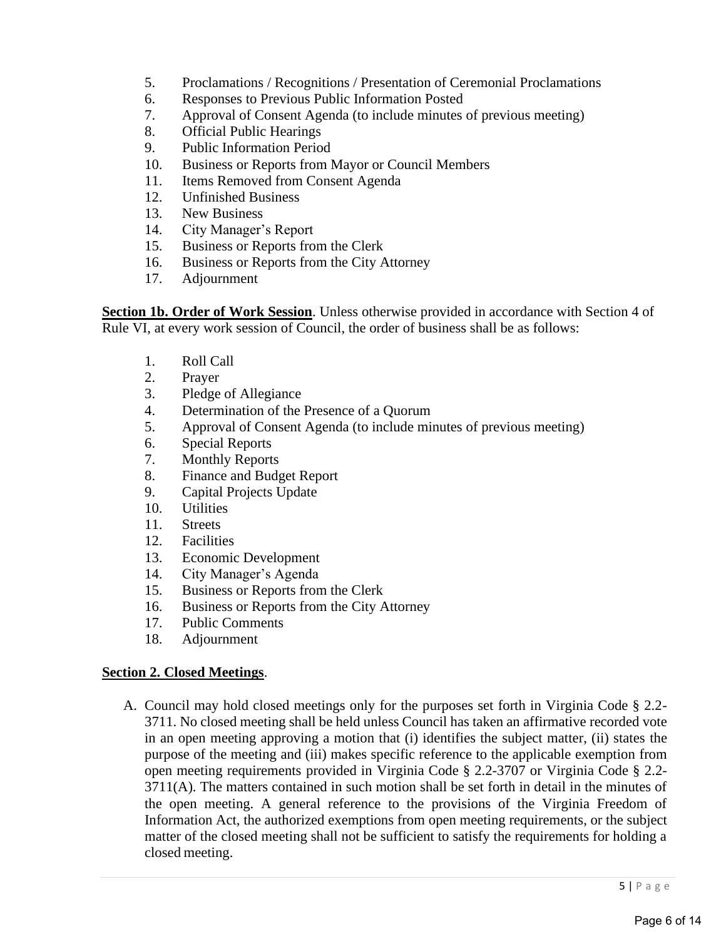- 5. Proclamations / Recognitions / Presentation of Ceremonial Proclamations
- 6. Responses to Previous Public Information Posted
- 7. Approval of Consent Agenda (to include minutes of previous meeting)
- 8. Official Public Hearings
- 9. Public Information Period
- 10. Business or Reports from Mayor or Council Members
- 11. Items Removed from Consent Agenda
- 12. Unfinished Business
- 13. New Business
- 14. City Manager's Report
- 15. Business or Reports from the Clerk
- 16. Business or Reports from the City Attorney
- 17. Adjournment

**Section 1b. Order of Work Session**. Unless otherwise provided in accordance with Section 4 of Rule VI, at every work session of Council, the order of business shall be as follows:

- 1. Roll Call
- 2. Prayer
- 3. Pledge of Allegiance
- 4. Determination of the Presence of a Quorum
- 5. Approval of Consent Agenda (to include minutes of previous meeting)
- 6. Special Reports
- 7. Monthly Reports
- 8. Finance and Budget Report
- 9. Capital Projects Update
- 10. Utilities
- 11. Streets
- 12. Facilities
- 13. Economic Development
- 14. City Manager's Agenda
- 15. Business or Reports from the Clerk
- 16. Business or Reports from the City Attorney
- 17. Public Comments
- 18. Adjournment

#### **Section 2. Closed Meetings**.

A. Council may hold closed meetings only for the purposes set forth in Virginia Code § 2.2- 3711. No closed meeting shall be held unless Council has taken an affirmative recorded vote in an open meeting approving a motion that (i) identifies the subject matter, (ii) states the purpose of the meeting and (iii) makes specific reference to the applicable exemption from open meeting requirements provided in Virginia Code § 2.2-3707 or Virginia Code § 2.2- 3711(A). The matters contained in such motion shall be set forth in detail in the minutes of the open meeting. A general reference to the provisions of the Virginia Freedom of Information Act, the authorized exemptions from open meeting requirements, or the subject matter of the closed meeting shall not be sufficient to satisfy the requirements for holding a closed meeting.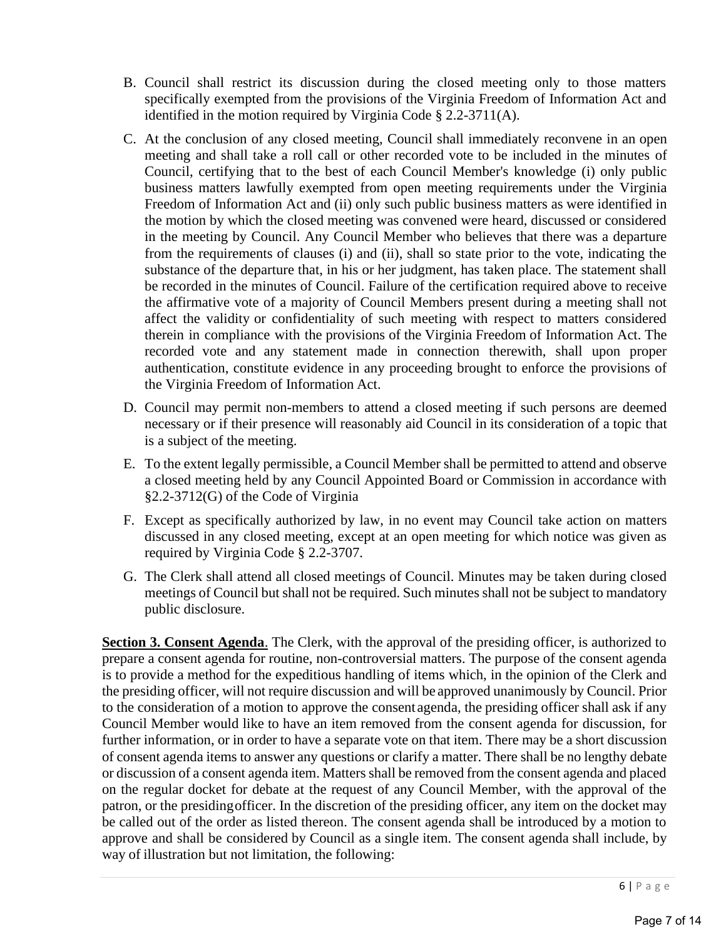- B. Council shall restrict its discussion during the closed meeting only to those matters specifically exempted from the provisions of the Virginia Freedom of Information Act and identified in the motion required by Virginia Code § 2.2-3711(A).
- C. At the conclusion of any closed meeting, Council shall immediately reconvene in an open meeting and shall take a roll call or other recorded vote to be included in the minutes of Council, certifying that to the best of each Council Member's knowledge (i) only public business matters lawfully exempted from open meeting requirements under the Virginia Freedom of Information Act and (ii) only such public business matters as were identified in the motion by which the closed meeting was convened were heard, discussed or considered in the meeting by Council. Any Council Member who believes that there was a departure from the requirements of clauses (i) and (ii), shall so state prior to the vote, indicating the substance of the departure that, in his or her judgment, has taken place. The statement shall be recorded in the minutes of Council. Failure of the certification required above to receive the affirmative vote of a majority of Council Members present during a meeting shall not affect the validity or confidentiality of such meeting with respect to matters considered therein in compliance with the provisions of the Virginia Freedom of Information Act. The recorded vote and any statement made in connection therewith, shall upon proper authentication, constitute evidence in any proceeding brought to enforce the provisions of the Virginia Freedom of Information Act.
- D. Council may permit non-members to attend a closed meeting if such persons are deemed necessary or if their presence will reasonably aid Council in its consideration of a topic that is a subject of the meeting.
- E. To the extent legally permissible, a Council Member shall be permitted to attend and observe a closed meeting held by any Council Appointed Board or Commission in accordance with §2.2-3712(G) of the Code of Virginia
- F. Except as specifically authorized by law, in no event may Council take action on matters discussed in any closed meeting, except at an open meeting for which notice was given as required by Virginia Code § 2.2-3707.
- G. The Clerk shall attend all closed meetings of Council. Minutes may be taken during closed meetings of Council but shall not be required. Such minutes shall not be subject to mandatory public disclosure.

**Section 3. Consent Agenda**. The Clerk, with the approval of the presiding officer, is authorized to prepare a consent agenda for routine, non-controversial matters. The purpose of the consent agenda is to provide a method for the expeditious handling of items which, in the opinion of the Clerk and the presiding officer, will not require discussion and will be approved unanimously by Council. Prior to the consideration of a motion to approve the consent agenda, the presiding officer shall ask if any Council Member would like to have an item removed from the consent agenda for discussion, for further information, or in order to have a separate vote on that item. There may be a short discussion of consent agenda items to answer any questions or clarify a matter. There shall be no lengthy debate or discussion of a consent agenda item. Matters shall be removed from the consent agenda and placed on the regular docket for debate at the request of any Council Member, with the approval of the patron, or the presidingofficer. In the discretion of the presiding officer, any item on the docket may be called out of the order as listed thereon. The consent agenda shall be introduced by a motion to approve and shall be considered by Council as a single item. The consent agenda shall include, by way of illustration but not limitation, the following: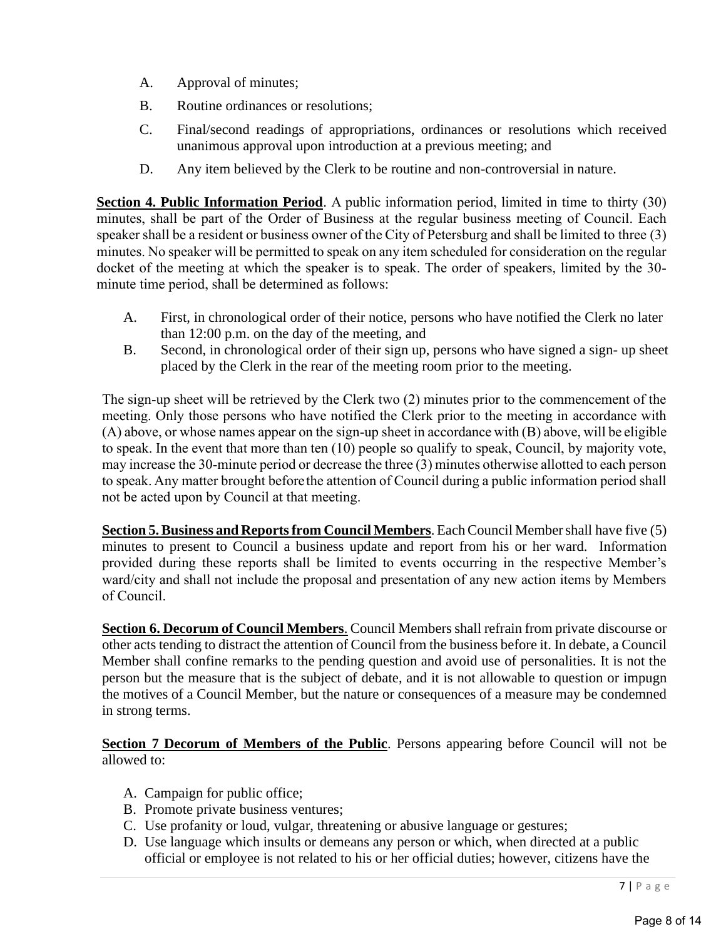- A. Approval of minutes;
- B. Routine ordinances or resolutions;
- C. Final/second readings of appropriations, ordinances or resolutions which received unanimous approval upon introduction at a previous meeting; and
- D. Any item believed by the Clerk to be routine and non-controversial in nature.

**Section 4. Public Information Period**. A public information period, limited in time to thirty (30) minutes, shall be part of the Order of Business at the regular business meeting of Council. Each speaker shall be a resident or business owner of the City of Petersburg and shall be limited to three (3) minutes. No speaker will be permitted to speak on any item scheduled for consideration on the regular docket of the meeting at which the speaker is to speak. The order of speakers, limited by the 30 minute time period, shall be determined as follows:

- A. First, in chronological order of their notice, persons who have notified the Clerk no later than 12:00 p.m. on the day of the meeting, and
- B. Second, in chronological order of their sign up, persons who have signed a sign- up sheet placed by the Clerk in the rear of the meeting room prior to the meeting.

The sign-up sheet will be retrieved by the Clerk two (2) minutes prior to the commencement of the meeting. Only those persons who have notified the Clerk prior to the meeting in accordance with (A) above, or whose names appear on the sign-up sheet in accordance with (B) above, will be eligible to speak. In the event that more than ten (10) people so qualify to speak, Council, by majority vote, may increase the 30-minute period or decrease the three (3) minutes otherwise allotted to each person to speak. Any matter brought beforethe attention of Council during a public information period shall not be acted upon by Council at that meeting.

**Section 5. Business and Reports from Council Members.** Each Council Member shall have five (5) minutes to present to Council a business update and report from his or her ward. Information provided during these reports shall be limited to events occurring in the respective Member's ward/city and shall not include the proposal and presentation of any new action items by Members of Council.

**Section 6. Decorum of Council Members**. Council Membersshall refrain from private discourse or other acts tending to distract the attention of Council from the business before it. In debate, a Council Member shall confine remarks to the pending question and avoid use of personalities. It is not the person but the measure that is the subject of debate, and it is not allowable to question or impugn the motives of a Council Member, but the nature or consequences of a measure may be condemned in strong terms.

**Section 7 Decorum of Members of the Public**. Persons appearing before Council will not be allowed to:

- A. Campaign for public office;
- B. Promote private business ventures;
- C. Use profanity or loud, vulgar, threatening or abusive language or gestures;
- D. Use language which insults or demeans any person or which, when directed at a public official or employee is not related to his or her official duties; however, citizens have the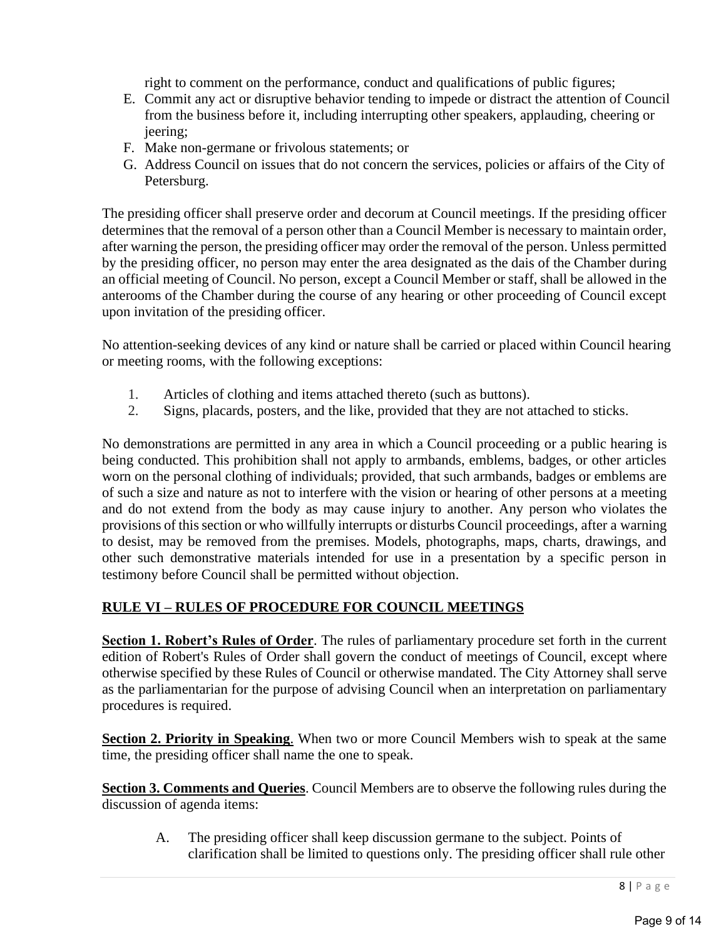right to comment on the performance, conduct and qualifications of public figures;

- E. Commit any act or disruptive behavior tending to impede or distract the attention of Council from the business before it, including interrupting other speakers, applauding, cheering or jeering;
- F. Make non-germane or frivolous statements; or
- G. Address Council on issues that do not concern the services, policies or affairs of the City of Petersburg.

The presiding officer shall preserve order and decorum at Council meetings. If the presiding officer determines that the removal of a person other than a Council Member is necessary to maintain order, after warning the person, the presiding officer may order the removal of the person. Unless permitted by the presiding officer, no person may enter the area designated as the dais of the Chamber during an official meeting of Council. No person, except a Council Member or staff, shall be allowed in the anterooms of the Chamber during the course of any hearing or other proceeding of Council except upon invitation of the presiding officer.

No attention-seeking devices of any kind or nature shall be carried or placed within Council hearing or meeting rooms, with the following exceptions:

- 1. Articles of clothing and items attached thereto (such as buttons).
- 2. Signs, placards, posters, and the like, provided that they are not attached to sticks.

No demonstrations are permitted in any area in which a Council proceeding or a public hearing is being conducted. This prohibition shall not apply to armbands, emblems, badges, or other articles worn on the personal clothing of individuals; provided, that such armbands, badges or emblems are of such a size and nature as not to interfere with the vision or hearing of other persons at a meeting and do not extend from the body as may cause injury to another. Any person who violates the provisions of thissection or who willfully interrupts or disturbs Council proceedings, after a warning to desist, may be removed from the premises. Models, photographs, maps, charts, drawings, and other such demonstrative materials intended for use in a presentation by a specific person in testimony before Council shall be permitted without objection.

## **RULE VI – RULES OF PROCEDURE FOR COUNCIL MEETINGS**

**Section 1. Robert's Rules of Order**. The rules of parliamentary procedure set forth in the current edition of Robert's Rules of Order shall govern the conduct of meetings of Council, except where otherwise specified by these Rules of Council or otherwise mandated. The City Attorney shall serve as the parliamentarian for the purpose of advising Council when an interpretation on parliamentary procedures is required.

**Section 2. Priority in Speaking.** When two or more Council Members wish to speak at the same time, the presiding officer shall name the one to speak.

**Section 3. Comments and Queries**. Council Members are to observe the following rules during the discussion of agenda items:

A. The presiding officer shall keep discussion germane to the subject. Points of clarification shall be limited to questions only. The presiding officer shall rule other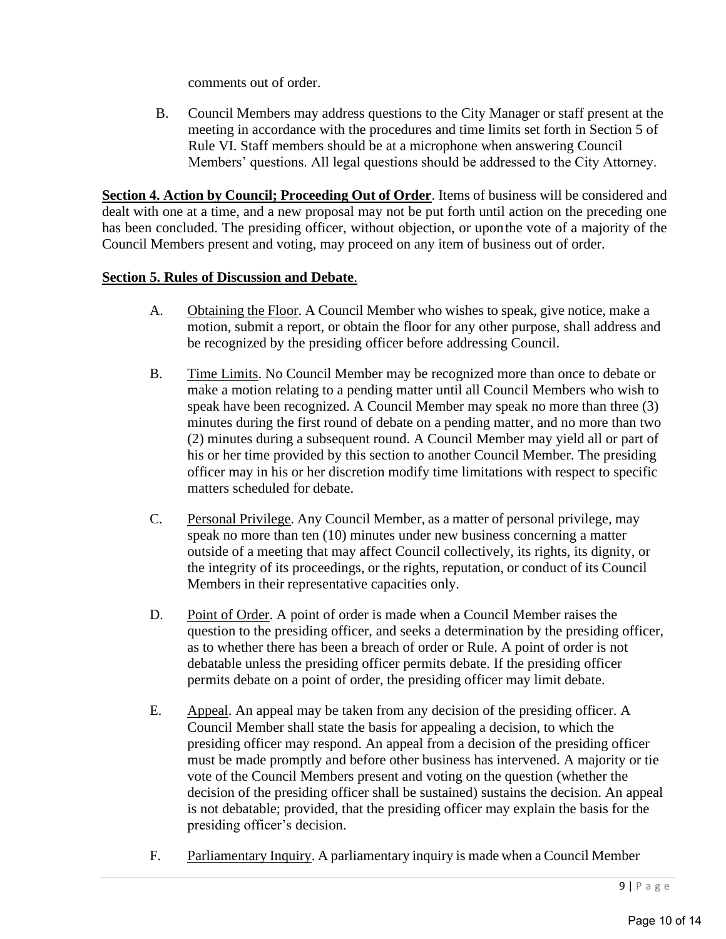comments out of order.

B. Council Members may address questions to the City Manager or staff present at the meeting in accordance with the procedures and time limits set forth in Section 5 of Rule VI. Staff members should be at a microphone when answering Council Members' questions. All legal questions should be addressed to the City Attorney.

**Section 4. Action by Council; Proceeding Out of Order**. Items of business will be considered and dealt with one at a time, and a new proposal may not be put forth until action on the preceding one has been concluded. The presiding officer, without objection, or uponthe vote of a majority of the Council Members present and voting, may proceed on any item of business out of order.

### **Section 5. Rules of Discussion and Debate**.

- A. Obtaining the Floor. A Council Member who wishes to speak, give notice, make a motion, submit a report, or obtain the floor for any other purpose, shall address and be recognized by the presiding officer before addressing Council.
- B. Time Limits. No Council Member may be recognized more than once to debate or make a motion relating to a pending matter until all Council Members who wish to speak have been recognized. A Council Member may speak no more than three (3) minutes during the first round of debate on a pending matter, and no more than two (2) minutes during a subsequent round. A Council Member may yield all or part of his or her time provided by this section to another Council Member. The presiding officer may in his or her discretion modify time limitations with respect to specific matters scheduled for debate.
- C. Personal Privilege. Any Council Member, as a matter of personal privilege, may speak no more than ten (10) minutes under new business concerning a matter outside of a meeting that may affect Council collectively, its rights, its dignity, or the integrity of its proceedings, or the rights, reputation, or conduct of its Council Members in their representative capacities only.
- D. Point of Order. A point of order is made when a Council Member raises the question to the presiding officer, and seeks a determination by the presiding officer, as to whether there has been a breach of order or Rule. A point of order is not debatable unless the presiding officer permits debate. If the presiding officer permits debate on a point of order, the presiding officer may limit debate.
- E. Appeal. An appeal may be taken from any decision of the presiding officer. A Council Member shall state the basis for appealing a decision, to which the presiding officer may respond. An appeal from a decision of the presiding officer must be made promptly and before other business has intervened. A majority or tie vote of the Council Members present and voting on the question (whether the decision of the presiding officer shall be sustained) sustains the decision. An appeal is not debatable; provided, that the presiding officer may explain the basis for the presiding officer's decision.
- F. Parliamentary Inquiry. A parliamentary inquiry is made when a Council Member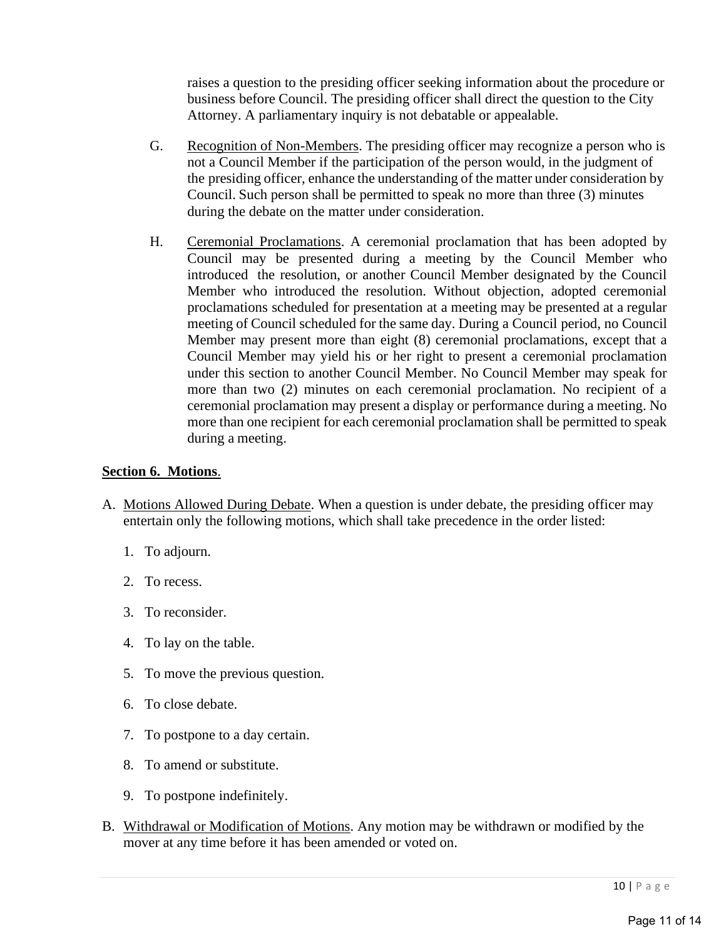raises a question to the presiding officer seeking information about the procedure or business before Council. The presiding officer shall direct the question to the City Attorney. A parliamentary inquiry is not debatable or appealable.

- G. Recognition of Non-Members. The presiding officer may recognize a person who is not a Council Member if the participation of the person would, in the judgment of the presiding officer, enhance the understanding of the matter under consideration by Council. Such person shall be permitted to speak no more than three (3) minutes during the debate on the matter under consideration.
- H. Ceremonial Proclamations. A ceremonial proclamation that has been adopted by Council may be presented during a meeting by the Council Member who introduced the resolution, or another Council Member designated by the Council Member who introduced the resolution. Without objection, adopted ceremonial proclamations scheduled for presentation at a meeting may be presented at a regular meeting of Council scheduled for the same day. During a Council period, no Council Member may present more than eight (8) ceremonial proclamations, except that a Council Member may yield his or her right to present a ceremonial proclamation under this section to another Council Member. No Council Member may speak for more than two (2) minutes on each ceremonial proclamation. No recipient of a ceremonial proclamation may present a display or performance during a meeting. No more than one recipient for each ceremonial proclamation shall be permitted to speak during a meeting.

### **Section 6. Motions**.

- A. Motions Allowed During Debate. When a question is under debate, the presiding officer may entertain only the following motions, which shall take precedence in the order listed:
	- 1. To adjourn.
	- 2. To recess.
	- 3. To reconsider.
	- 4. To lay on the table.
	- 5. To move the previous question.
	- 6. To close debate.
	- 7. To postpone to a day certain.
	- 8. To amend or substitute.
	- 9. To postpone indefinitely.
- B. Withdrawal or Modification of Motions. Any motion may be withdrawn or modified by the mover at any time before it has been amended or voted on.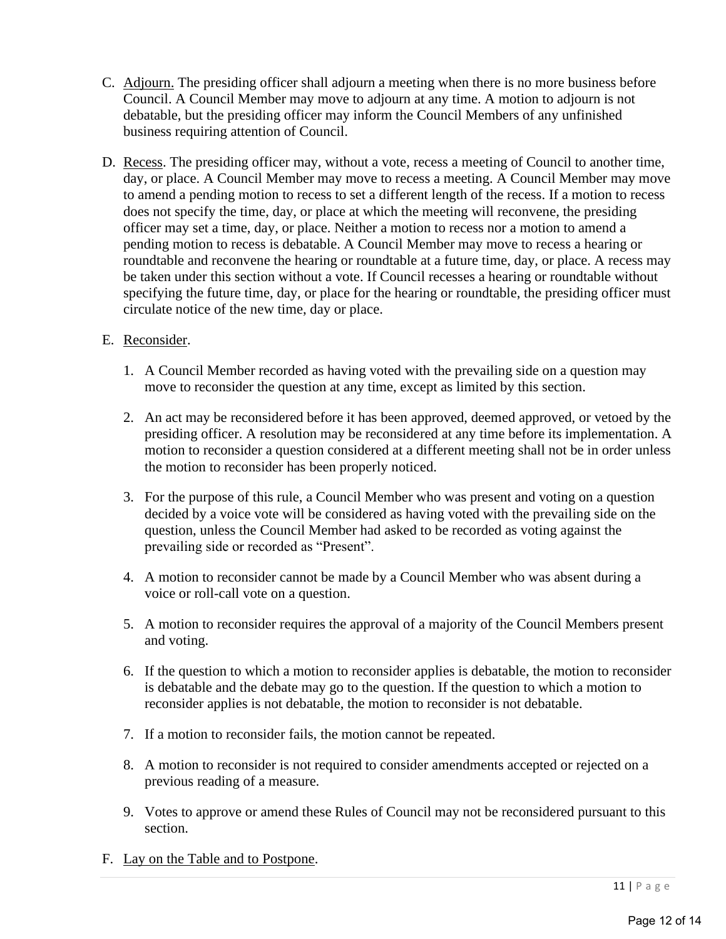- C. Adjourn. The presiding officer shall adjourn a meeting when there is no more business before Council. A Council Member may move to adjourn at any time. A motion to adjourn is not debatable, but the presiding officer may inform the Council Members of any unfinished business requiring attention of Council.
- D. Recess. The presiding officer may, without a vote, recess a meeting of Council to another time, day, or place. A Council Member may move to recess a meeting. A Council Member may move to amend a pending motion to recess to set a different length of the recess. If a motion to recess does not specify the time, day, or place at which the meeting will reconvene, the presiding officer may set a time, day, or place. Neither a motion to recess nor a motion to amend a pending motion to recess is debatable. A Council Member may move to recess a hearing or roundtable and reconvene the hearing or roundtable at a future time, day, or place. A recess may be taken under this section without a vote. If Council recesses a hearing or roundtable without specifying the future time, day, or place for the hearing or roundtable, the presiding officer must circulate notice of the new time, day or place.

### E. Reconsider.

- 1. A Council Member recorded as having voted with the prevailing side on a question may move to reconsider the question at any time, except as limited by this section.
- 2. An act may be reconsidered before it has been approved, deemed approved, or vetoed by the presiding officer. A resolution may be reconsidered at any time before its implementation. A motion to reconsider a question considered at a different meeting shall not be in order unless the motion to reconsider has been properly noticed.
- 3. For the purpose of this rule, a Council Member who was present and voting on a question decided by a voice vote will be considered as having voted with the prevailing side on the question, unless the Council Member had asked to be recorded as voting against the prevailing side or recorded as "Present".
- 4. A motion to reconsider cannot be made by a Council Member who was absent during a voice or roll-call vote on a question.
- 5. A motion to reconsider requires the approval of a majority of the Council Members present and voting.
- 6. If the question to which a motion to reconsider applies is debatable, the motion to reconsider is debatable and the debate may go to the question. If the question to which a motion to reconsider applies is not debatable, the motion to reconsider is not debatable.
- 7. If a motion to reconsider fails, the motion cannot be repeated.
- 8. A motion to reconsider is not required to consider amendments accepted or rejected on a previous reading of a measure.
- 9. Votes to approve or amend these Rules of Council may not be reconsidered pursuant to this section.
- F. Lay on the Table and to Postpone.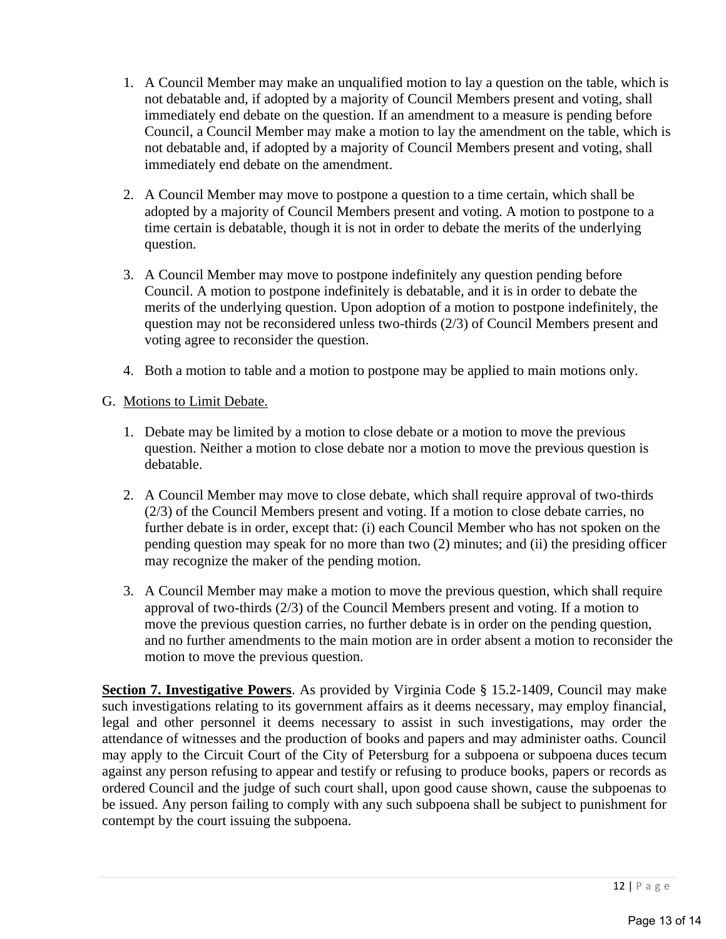- 1. A Council Member may make an unqualified motion to lay a question on the table, which is not debatable and, if adopted by a majority of Council Members present and voting, shall immediately end debate on the question. If an amendment to a measure is pending before Council, a Council Member may make a motion to lay the amendment on the table, which is not debatable and, if adopted by a majority of Council Members present and voting, shall immediately end debate on the amendment.
- 2. A Council Member may move to postpone a question to a time certain, which shall be adopted by a majority of Council Members present and voting. A motion to postpone to a time certain is debatable, though it is not in order to debate the merits of the underlying question.
- 3. A Council Member may move to postpone indefinitely any question pending before Council. A motion to postpone indefinitely is debatable, and it is in order to debate the merits of the underlying question. Upon adoption of a motion to postpone indefinitely, the question may not be reconsidered unless two-thirds (2/3) of Council Members present and voting agree to reconsider the question.
- 4. Both a motion to table and a motion to postpone may be applied to main motions only.

### G. Motions to Limit Debate.

- 1. Debate may be limited by a motion to close debate or a motion to move the previous question. Neither a motion to close debate nor a motion to move the previous question is debatable.
- 2. A Council Member may move to close debate, which shall require approval of two-thirds (2/3) of the Council Members present and voting. If a motion to close debate carries, no further debate is in order, except that: (i) each Council Member who has not spoken on the pending question may speak for no more than two (2) minutes; and (ii) the presiding officer may recognize the maker of the pending motion.
- 3. A Council Member may make a motion to move the previous question, which shall require approval of two-thirds (2/3) of the Council Members present and voting. If a motion to move the previous question carries, no further debate is in order on the pending question, and no further amendments to the main motion are in order absent a motion to reconsider the motion to move the previous question.

**Section 7. Investigative Powers**. As provided by Virginia Code § 15.2-1409, Council may make such investigations relating to its government affairs as it deems necessary, may employ financial, legal and other personnel it deems necessary to assist in such investigations, may order the attendance of witnesses and the production of books and papers and may administer oaths. Council may apply to the Circuit Court of the City of Petersburg for a subpoena or subpoena duces tecum against any person refusing to appear and testify or refusing to produce books, papers or records as ordered Council and the judge of such court shall, upon good cause shown, cause the subpoenas to be issued. Any person failing to comply with any such subpoena shall be subject to punishment for contempt by the court issuing the subpoena.